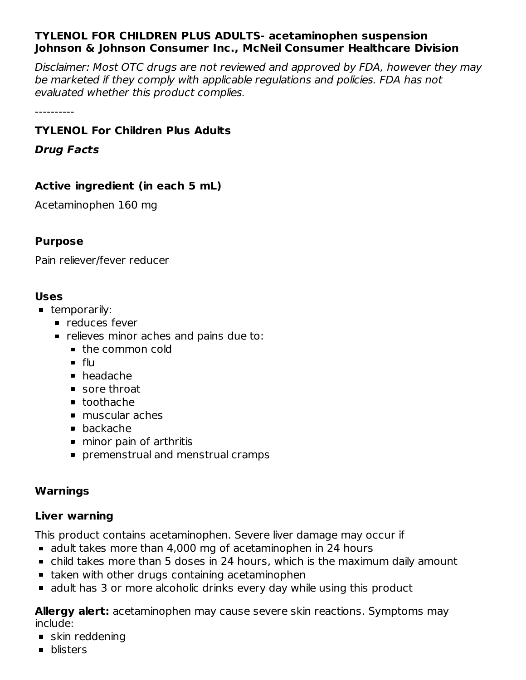## **TYLENOL FOR CHILDREN PLUS ADULTS- acetaminophen suspension Johnson & Johnson Consumer Inc., McNeil Consumer Healthcare Division**

Disclaimer: Most OTC drugs are not reviewed and approved by FDA, however they may be marketed if they comply with applicable regulations and policies. FDA has not evaluated whether this product complies.

----------

## **TYLENOL For Children Plus Adults**

**Drug Facts**

# **Active ingredient (in each 5 mL)**

Acetaminophen 160 mg

### **Purpose**

Pain reliever/fever reducer

#### **Uses**

- **temporarily:** 
	- **P** reduces fever
	- **•** relieves minor aches and pains due to:
		- the common cold
		- flu
		- headache
		- sore throat
		- toothache
		- muscular aches
		- backache
		- minor pain of arthritis
		- **premenstrual and menstrual cramps**

## **Warnings**

## **Liver warning**

This product contains acetaminophen. Severe liver damage may occur if

- adult takes more than 4,000 mg of acetaminophen in 24 hours
- child takes more than 5 doses in 24 hours, which is the maximum daily amount
- **taken with other drugs containing acetaminophen**
- adult has 3 or more alcoholic drinks every day while using this product

**Allergy alert:** acetaminophen may cause severe skin reactions. Symptoms may include:

- skin reddening
- **•** blisters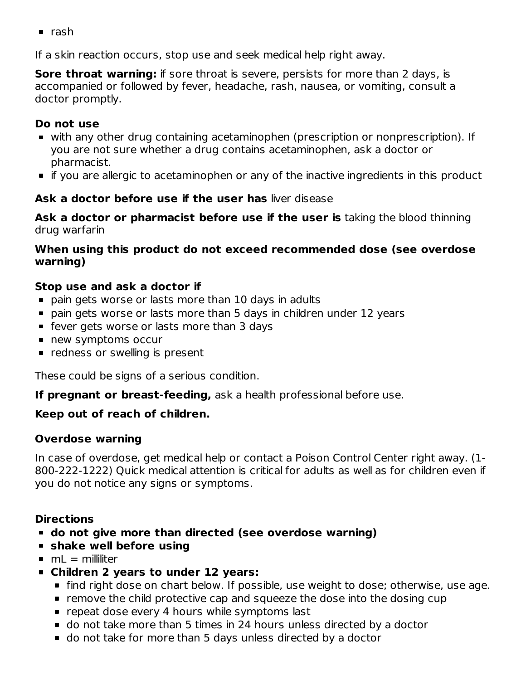$rac{1}{2}$  rash

If a skin reaction occurs, stop use and seek medical help right away.

**Sore throat warning:** if sore throat is severe, persists for more than 2 days, is accompanied or followed by fever, headache, rash, nausea, or vomiting, consult a doctor promptly.

### **Do not use**

- with any other drug containing acetaminophen (prescription or nonprescription). If you are not sure whether a drug contains acetaminophen, ask a doctor or pharmacist.
- if you are allergic to acetaminophen or any of the inactive ingredients in this product

### **Ask a doctor before use if the user has** liver disease

**Ask a doctor or pharmacist before use if the user is** taking the blood thinning drug warfarin

### **When using this product do not exceed recommended dose (see overdose warning)**

### **Stop use and ask a doctor if**

- pain gets worse or lasts more than 10 days in adults
- pain gets worse or lasts more than 5 days in children under 12 years
- **fever gets worse or lasts more than 3 days**
- **new symptoms occur**
- **•** redness or swelling is present

These could be signs of a serious condition.

**If pregnant or breast-feeding,** ask a health professional before use.

## **Keep out of reach of children.**

## **Overdose warning**

In case of overdose, get medical help or contact a Poison Control Center right away. (1- 800-222-1222) Quick medical attention is critical for adults as well as for children even if you do not notice any signs or symptoms.

## **Directions**

- **do not give more than directed (see overdose warning)**
- **shake well before using**
- $mL =$  milliliter
- **Children 2 years to under 12 years:**
	- find right dose on chart below. If possible, use weight to dose; otherwise, use age.
	- **F** remove the child protective cap and squeeze the dose into the dosing cup
	- $\blacksquare$  repeat dose every 4 hours while symptoms last
	- do not take more than 5 times in 24 hours unless directed by a doctor
	- do not take for more than 5 days unless directed by a doctor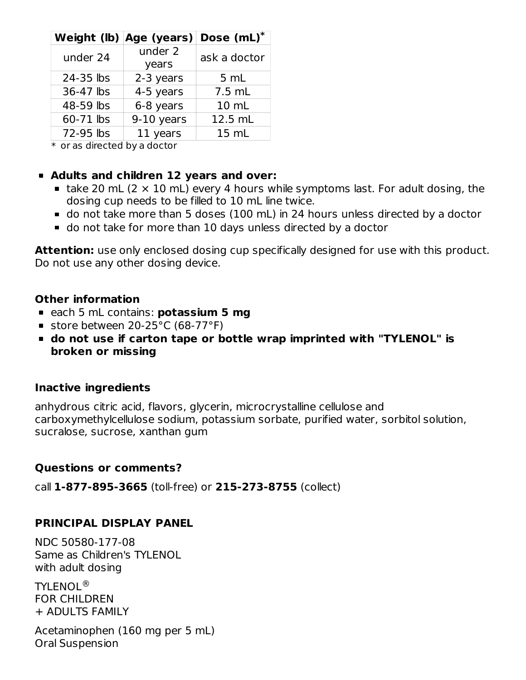|           | Weight (lb) Age (years) | Dose (mL)*   |
|-----------|-------------------------|--------------|
| under 24  | under 2<br>years        | ask a doctor |
| 24-35 lbs | 2-3 years               | 5 mL         |
| 36-47 lbs | 4-5 years               | 7.5 mL       |
| 48-59 lbs | 6-8 years               | 10 mL        |
| 60-71 lbs | 9-10 years              | 12.5 mL      |
| 72-95 lbs | 11 years                | 15 mL        |

 $\ast$  or as directed by a doctor

### **Adults and children 12 years and over:**

- take 20 mL (2  $\times$  10 mL) every 4 hours while symptoms last. For adult dosing, the dosing cup needs to be filled to 10 mL line twice.
- do not take more than 5 doses (100 mL) in 24 hours unless directed by a doctor
- do not take for more than 10 days unless directed by a doctor

Attention: use only enclosed dosing cup specifically designed for use with this product. Do not use any other dosing device.

#### **Other information**

- each 5 mL contains: **potassium 5 mg**
- store between 20-25°C (68-77°F)
- **do not use if carton tape or bottle wrap imprinted with "TYLENOL" is broken or missing**

#### **Inactive ingredients**

anhydrous citric acid, flavors, glycerin, microcrystalline cellulose and carboxymethylcellulose sodium, potassium sorbate, purified water, sorbitol solution, sucralose, sucrose, xanthan gum

## **Questions or comments?**

call **1-877-895-3665** (toll-free) or **215-273-8755** (collect)

## **PRINCIPAL DISPLAY PANEL**

NDC 50580-177-08 Same as Children's TYLENOL with adult dosing

TYLENOL ®FOR CHILDREN + ADULTS FAMILY

Acetaminophen (160 mg per 5 mL) Oral Suspension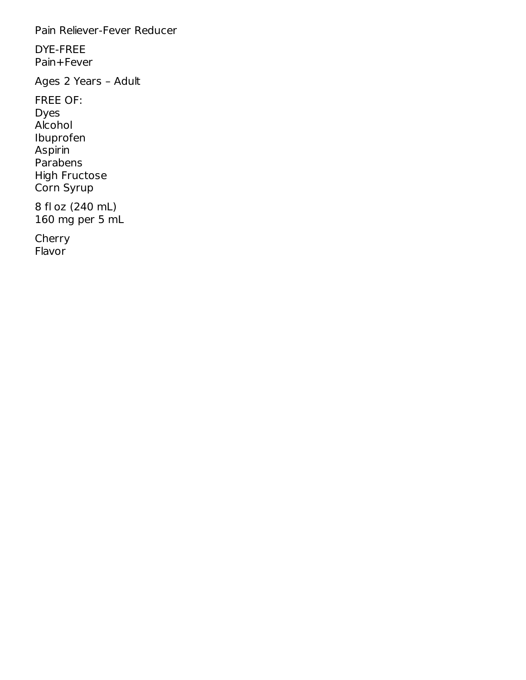Pain Reliever-Fever Reducer

DYE-FREE Pain+Fever

Ages 2 Years – Adult

FREE OF: Dyes Alcohol Ibuprofen Aspirin Parabens High Fructose Corn Syrup 8 fl oz (240 mL) 160 mg per 5 mL

Cherry Flavor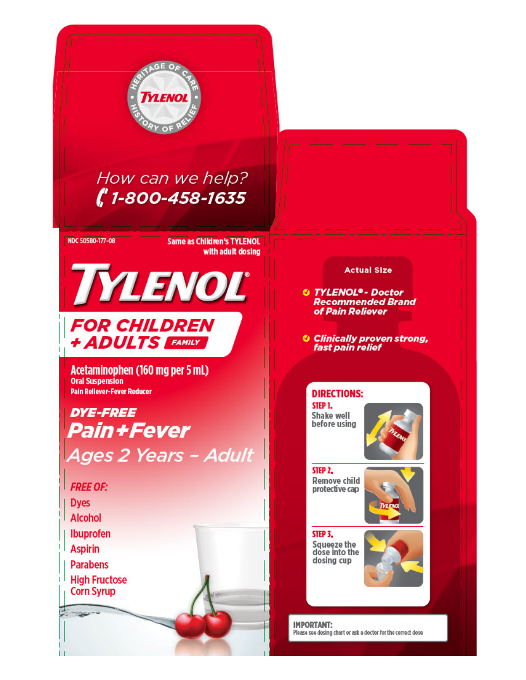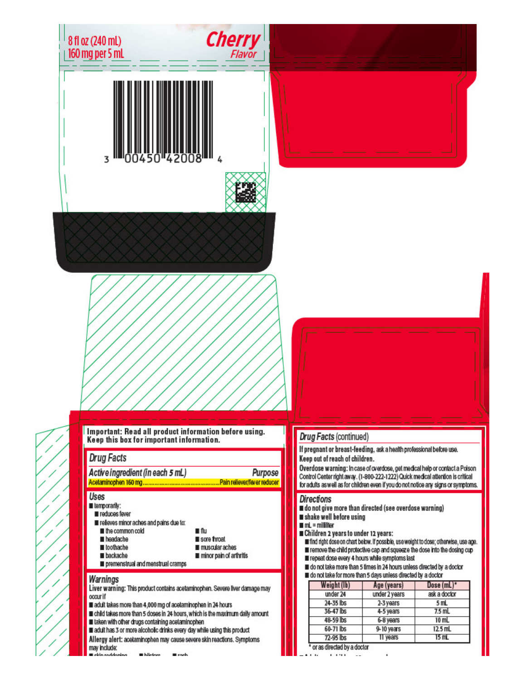| 8 fl oz (240 mL)<br>160 mg per 5 mL                                                                                                                                                                                                                                                                                                                                                                                                                                                                                                            | <b>Cherry</b><br>Flavor                                                     |                                                                                                                                                                                                                                                                                                                                                                                          |                                                                                                                                                                    |                                                                                                                                                                                                                                                                                                                                        |
|------------------------------------------------------------------------------------------------------------------------------------------------------------------------------------------------------------------------------------------------------------------------------------------------------------------------------------------------------------------------------------------------------------------------------------------------------------------------------------------------------------------------------------------------|-----------------------------------------------------------------------------|------------------------------------------------------------------------------------------------------------------------------------------------------------------------------------------------------------------------------------------------------------------------------------------------------------------------------------------------------------------------------------------|--------------------------------------------------------------------------------------------------------------------------------------------------------------------|----------------------------------------------------------------------------------------------------------------------------------------------------------------------------------------------------------------------------------------------------------------------------------------------------------------------------------------|
|                                                                                                                                                                                                                                                                                                                                                                                                                                                                                                                                                |                                                                             |                                                                                                                                                                                                                                                                                                                                                                                          |                                                                                                                                                                    |                                                                                                                                                                                                                                                                                                                                        |
|                                                                                                                                                                                                                                                                                                                                                                                                                                                                                                                                                |                                                                             |                                                                                                                                                                                                                                                                                                                                                                                          |                                                                                                                                                                    |                                                                                                                                                                                                                                                                                                                                        |
|                                                                                                                                                                                                                                                                                                                                                                                                                                                                                                                                                |                                                                             |                                                                                                                                                                                                                                                                                                                                                                                          |                                                                                                                                                                    |                                                                                                                                                                                                                                                                                                                                        |
| Important: Read all product information before using.<br>Keep this box for important information.<br><b>Drug Facts</b><br>Active ingredient (in each 5 mL)<br><b>Uses</b><br>lemporarily:<br>reduces fever<br>refeves minor aches and pains due to:<br>the common cold<br>headache<br>loothache<br><b>backache</b><br>premenstrual and menstrual cramps                                                                                                                                                                                        | Purpose<br>∎ flu<br>sore froat<br>muscular aches<br>minor pain of arthritis | Drug Facts (continued)<br>If pregnant or breast-feeding, ask a health professional before use.<br>Keep out of reach of children.<br>Control Center right away. (1-800-222-1222) Quick medical attention is critical<br><b>Directions</b><br>do not give more than directed (see overdose warning)<br>shake well before using<br>$mL =$ milliliter<br>Children 2 years to under 12 years: | Firepeat dose every 4 hours while symptoms last<br>do not take more than 5 times in 24 hours unless directed by a doctor                                           | Overdose warning: In case of overdose, get medical help or contact a Poison<br>for adults as well as for children even if you do not notice any signs or symptoms.<br>find right dose on chart below. If possible, use weight to dose; otherwise, use age.<br>remove the child protective cap and squeeze the dose into the dosing cup |
| <b>Warnings</b><br>Liver warning: This product contains acetaminophen. Severe liver damage may<br>occurif<br>adult takes more than 4,000 mg of acetaminophen in 24 hours<br>■ child takes more than 5 doses in 24 hours, which is the maximum daily amount<br>Il taken with other drugs containing acetaminophen<br>adult has 3 or more alcoholic drinks every day while using this product<br>Allergy alert: acetaminophen may cause severe skin reactions. Symptoms<br>may include:<br>Lekin reddening<br><b>Bibliother</b><br><b>B</b> rock |                                                                             | Weight (lb)<br>under 24<br>24-35 lbs<br>36-47 lbs<br>48-59 lbs<br>60-71 lbs<br>$72-95$ lbs<br>* or as directed by a doctor<br>1. 1. 1. 1.                                                                                                                                                                                                                                                | do not take for more than 5 days unless directed by a doctor<br>Age (years)<br>under 2 years<br>2-3 years<br>4-5 years<br>6-8 years<br>9-10 years<br>11 years<br>٠ | Dose (mL)*<br>ask a doctor<br>5 mL<br>$7.5$ mL<br>$10$ mL<br>12.5 mL<br>15 mL                                                                                                                                                                                                                                                          |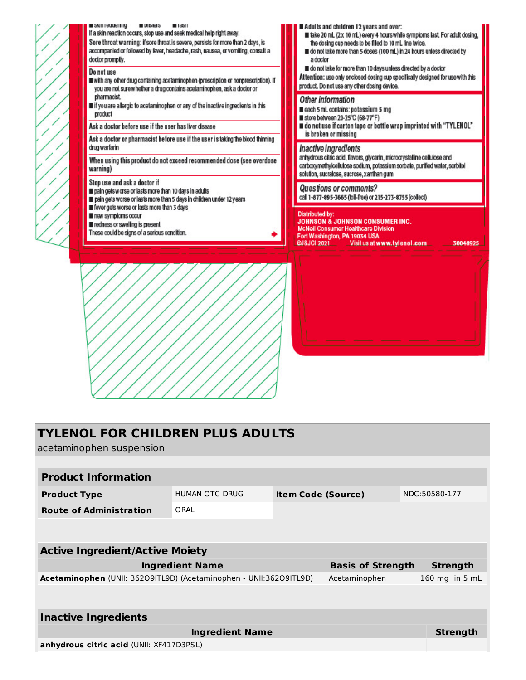

| <b>TYLENOL FOR CHILDREN PLUS ADULTS</b><br>acetaminophen suspension |                        |                           |                          |                 |
|---------------------------------------------------------------------|------------------------|---------------------------|--------------------------|-----------------|
|                                                                     |                        |                           |                          |                 |
| <b>Product Information</b>                                          |                        |                           |                          |                 |
| <b>Product Type</b>                                                 | <b>HUMAN OTC DRUG</b>  | <b>Item Code (Source)</b> |                          | NDC:50580-177   |
| <b>Route of Administration</b>                                      | ORAL                   |                           |                          |                 |
|                                                                     |                        |                           |                          |                 |
| <b>Active Ingredient/Active Moiety</b>                              |                        |                           |                          |                 |
|                                                                     | <b>Ingredient Name</b> |                           | <b>Basis of Strength</b> | <b>Strength</b> |
| Acetaminophen (UNII: 36209ITL9D) (Acetaminophen - UNII:36209ITL9D)  |                        |                           | Acetaminophen            | 160 mg in 5 mL  |
|                                                                     |                        |                           |                          |                 |
| <b>Inactive Ingredients</b>                                         |                        |                           |                          |                 |
|                                                                     | <b>Ingredient Name</b> |                           |                          | Strength        |
| anhydrous citric acid (UNII: XF417D3PSL)                            |                        |                           |                          |                 |